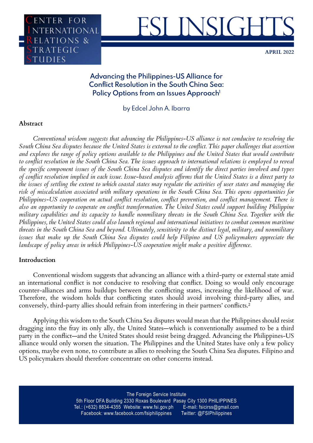



**April 2022**

# **Advancing the Philippines-US Alliance for Conflict Resolution in the South China Sea:**  Policy Options from an Issues Approach<sup>1</sup>

by Edcel John A. Ibarra

# **Abstract**

*Conventional wisdom suggests that advancing the Philippines-US alliance is not conducive to resolving the South China Sea disputes because the United States is external to the conflict. This paper challenges that assertion and explores the range of policy options available to the Philippines and the United States that would contribute to conflict resolution in the South China Sea. The issues approach to international relations is employed to reveal the specific component issues of the South China Sea disputes and identify the direct parties involved and types of conflict resolution implied in each issue. Issue-based analysis affirms that the United States is a direct party to the issues of settling the extent to which coastal states may regulate the activities of user states and managing the risk of miscalculation associated with military operations in the South China Sea. This opens opportunities for Philippines-US cooperation on actual conflict resolution, conflict prevention, and conflict management. There is also an opportunity to cooperate on conflict transformation. The United States could support building Philippine military capabilities and its capacity to handle nonmilitary threats in the South China Sea. Together with the Philippines, the United States could also launch regional and international initiatives to combat common maritime threats in the South China Sea and beyond. Ultimately, sensitivity to the distinct legal, military, and nonmilitary issues that make up the South China Sea disputes could help Filipino and US policymakers appreciate the landscape of policy areas in which Philippines-US cooperation might make a positive difference.*

# **Introduction**

Conventional wisdom suggests that advancing an alliance with a third-party or external state amid an international conflict is not conducive to resolving that conflict. Doing so would only encourage counter-alliances and arms buildups between the conflicting states, increasing the likelihood of war. Therefore, the wisdom holds that conflicting states should avoid involving third-party allies, and conversely, third-party allies should refrain from interfering in their partners' conflicts.²

Applying this wisdom to the South China Sea disputes would mean that the Philippines should resist dragging into the fray its only ally, the United States—which is conventionally assumed to be a third party in the conflict—and the United States should resist being dragged. Advancing the Philippines-US alliance would only worsen the situation. The Philippines and the United States have only a few policy options, maybe even none, to contribute as allies to resolving the South China Sea disputes. Filipino and US policymakers should therefore concentrate on other concerns instead.

> The Foreign Service Institute 5th Floor DFA Building 2330 Roxas Boulevard Pasay City 1300 PHILIPPINES Tel.: (+632) 8834-4355 Website: www.fsi.gov.ph E-mail: fsicirss@gmail.com Facebook: www.facebook.com/fsiphilippines Twitter: @FSIPhilippines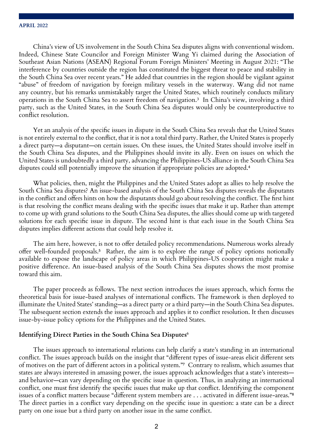China's view of US involvement in the South China Sea disputes aligns with conventional wisdom. Indeed, Chinese State Councilor and Foreign Minister Wang Yi claimed during the Association of Southeast Asian Nations (ASEAN) Regional Forum Foreign Ministers' Meeting in August 2021: "The interference by countries outside the region has constituted the biggest threat to peace and stability in the South China Sea over recent years." He added that countries in the region should be vigilant against "abuse" of freedom of navigation by foreign military vessels in the waterway. Wang did not name any country, but his remarks unmistakably target the United States, which routinely conducts military operations in the South China Sea to assert freedom of navigation.<sup>3</sup> In China's view, involving a third party, such as the United States, in the South China Sea disputes would only be counterproductive to conflict resolution.

Yet an analysis of the specific issues in dispute in the South China Sea reveals that the United States is not entirely external to the conflict, that it is not a total third party. Rather, the United States is properly a direct party—a disputant—on certain issues. On these issues, the United States should involve itself in the South China Sea disputes, and the Philippines should invite its ally. Even on issues on which the United States is undoubtedly a third party, advancing the Philippines-US alliance in the South China Sea disputes could still potentially improve the situation if appropriate policies are adopted.<sup>4</sup>

What policies, then, might the Philippines and the United States adopt as allies to help resolve the South China Sea disputes? An issue-based analysis of the South China Sea disputes reveals the disputants in the conflict and offers hints on how the disputants should go about resolving the conflict. The first hint is that resolving the conflict means dealing with the specific issues that make it up. Rather than attempt to come up with grand solutions to the South China Sea disputes, the allies should come up with targeted solutions for each specific issue in dispute. The second hint is that each issue in the South China Sea disputes implies different actions that could help resolve it.

The aim here, however, is not to offer detailed policy recommendations. Numerous works already offer well-founded proposals.<sup>5</sup> Rather, the aim is to explore the range of policy options notionally available to expose the landscape of policy areas in which Philippines-US cooperation might make a positive difference. An issue-based analysis of the South China Sea disputes shows the most promise toward this aim.

The paper proceeds as follows. The next section introduces the issues approach, which forms the theoretical basis for issue-based analyses of international conflicts. The framework is then deployed to illuminate the United States' standing—as a direct party or a third party—in the South China Sea disputes. The subsequent section extends the issues approach and applies it to conflict resolution. It then discusses issue-by-issue policy options for the Philippines and the United States.

### **Identifying Direct Parties in the South China Sea Disputes6**

The issues approach to international relations can help clarify a state's standing in an international conflict. The issues approach builds on the insight that "different types of issue-areas elicit different sets of motives on the part of different actors in a political system."<sup>7</sup> Contrary to realism, which assumes that states are always interested in amassing power, the issues approach acknowledges that a state's interests and behavior—can vary depending on the specific issue in question. Thus, in analyzing an international conflict, one must first identify the specific issues that make up that conflict. Identifying the component issues of a conflict matters because "different system members are . . . activated in different issue-areas."<sup>8</sup> The direct parties in a conflict vary depending on the specific issue in question: a state can be a direct party on one issue but a third party on another issue in the same conflict.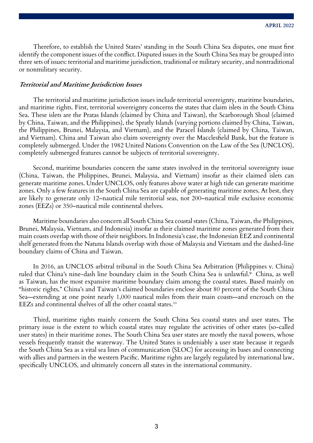Therefore, to establish the United States' standing in the South China Sea disputes, one must first identify the component issues of the conflict. Disputed issues in the South China Sea may be grouped into three sets of issues: territorial and maritime jurisdiction, traditional or military security, and nontraditional or nonmilitary security.

### **Territorial and Maritime Jurisdiction Issues**

The territorial and maritime jurisdiction issues include territorial sovereignty, maritime boundaries, and maritime rights. First, territorial sovereignty concerns the states that claim islets in the South China Sea. These islets are the Pratas Islands (claimed by China and Taiwan), the Scarborough Shoal (claimed by China, Taiwan, and the Philippines), the Spratly Islands (varying portions claimed by China, Taiwan, the Philippines, Brunei, Malaysia, and Vietnam), and the Paracel Islands (claimed by China, Taiwan, and Vietnam). China and Taiwan also claim sovereignty over the Macclesfield Bank, but the feature is completely submerged. Under the 1982 United Nations Convention on the Law of the Sea (UNCLOS), completely submerged features cannot be subjects of territorial sovereignty.

Second, maritime boundaries concern the same states involved in the territorial sovereignty issue (China, Taiwan, the Philippines, Brunei, Malaysia, and Vietnam) insofar as their claimed islets can generate maritime zones. Under UNCLOS, only features above water at high tide can generate maritime zones. Only a few features in the South China Sea are capable of generating maritime zones. At best, they are likely to generate only 12–nautical mile territorial seas, not 200–nautical mile exclusive economic zones (EEZs) or 350–nautical mile continental shelves.

Maritime boundaries also concern all South China Sea coastal states (China, Taiwan, the Philippines, Brunei, Malaysia, Vietnam, and Indonesia) insofar as their claimed maritime zones generated from their main coasts overlap with those of their neighbors. In Indonesia's case, the Indonesian EEZ and continental shelf generated from the Natuna Islands overlap with those of Malaysia and Vietnam and the dashed-line boundary claims of China and Taiwan.

In 2016, an UNCLOS arbitral tribunal in the South China Sea Arbitration (Philippines v. China) ruled that China's nine-dash line boundary claim in the South China Sea is unlawful.<sup>9</sup> China, as well as Taiwan, has the most expansive maritime boundary claim among the coastal states. Based mainly on "historic rights," China's and Taiwan's claimed boundaries enclose about 80 percent of the South China Sea—extending at one point nearly 1,000 nautical miles from their main coasts—and encroach on the EEZs and continental shelves of all the other coastal states.10

Third, maritime rights mainly concern the South China Sea coastal states and user states. The primary issue is the extent to which coastal states may regulate the activities of other states (so-called user states) in their maritime zones. The South China Sea user states are mostly the naval powers, whose vessels frequently transit the waterway. The United States is undeniably a user state because it regards the South China Sea as a vital sea lines of communication (SLOC) for accessing its bases and connecting with allies and partners in the western Pacific. Maritime rights are largely regulated by international law, specifically UNCLOS, and ultimately concern all states in the international community.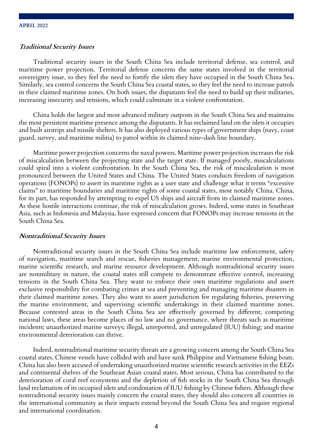### **Traditional Security Issues**

Traditional security issues in the South China Sea include territorial defense, sea control, and maritime power projection. Territorial defense concerns the same states involved in the territorial sovereignty issue, so they feel the need to fortify the islets they have occupied in the South China Sea. Similarly, sea control concerns the South China Sea coastal states, so they feel the need to increase patrols in their claimed maritime zones. On both issues, the disputants feel the need to build up their militaries, increasing insecurity and tensions, which could culminate in a violent confrontation.

China holds the largest and most advanced military outposts in the South China Sea and maintains the most persistent maritime presence among the disputants. It has reclaimed land on the islets it occupies and built airstrips and missile shelters. It has also deployed various types of government ships (navy, coast guard, survey, and maritime militia) to patrol within its claimed nine-dash line boundary.

Maritime power projection concerns the naval powers. Maritime power projection increases the risk of miscalculation between the projecting state and the target state. If managed poorly, miscalculations could spiral into a violent confrontation. In the South China Sea, the risk of miscalculation is most pronounced between the United States and China. The United States conducts freedom of navigation operations (FONOPs) to assert its maritime rights as a user state and challenge what it terms "excessive claims" to maritime boundaries and maritime rights of some coastal states, most notably China. China, for its part, has responded by attempting to expel US ships and aircraft from its claimed maritime zones. As these hostile interactions continue, the risk of miscalculation grows. Indeed, some states in Southeast Asia, such as Indonesia and Malaysia, have expressed concern that FONOPs may increase tensions in the South China Sea.

#### **Nontraditional Security Issues**

Nontraditional security issues in the South China Sea include maritime law enforcement, safety of navigation, maritime search and rescue, fisheries management, marine environmental protection, marine scientific research, and marine resource development. Although nontraditional security issues are nonmilitary in nature, the coastal states still compete to demonstrate effective control, increasing tensions in the South China Sea. They want to enforce their own maritime regulations and assert exclusive responsibility for combating crimes at sea and preventing and managing maritime disasters in their claimed maritime zones. They also want to assert jurisdiction for regulating fisheries, preserving the marine environment, and supervising scientific undertakings in their claimed maritime zones. Because contested areas in the South China Sea are effectively governed by different, competing national laws, these areas become places of no law and no governance, where threats such as maritime incidents; unauthorized marine surveys; illegal, unreported, and unregulated (IUU) fishing; and marine environmental deterioration can thrive.

Indeed, nontraditional maritime security threats are a growing concern among the South China Sea coastal states. Chinese vessels have collided with and have sunk Philippine and Vietnamese fishing boats. China has also been accused of undertaking unauthorized marine scientific research activities in the EEZs and continental shelves of the Southeast Asian coastal states. Most serious, China has contributed to the deterioration of coral reef ecosystems and the depletion of fish stocks in the South China Sea through land reclamation of its occupied islets and condonation of IUU fishing by Chinese fishers. Although these nontraditional security issues mainly concern the coastal states, they should also concern all countries in the international community as their impacts extend beyond the South China Sea and require regional and international coordination.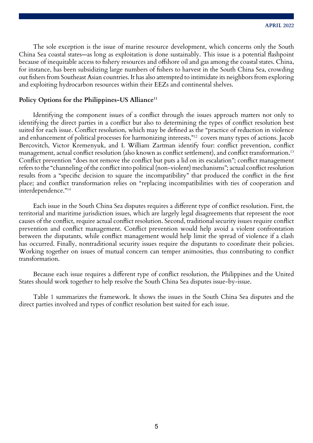The sole exception is the issue of marine resource development, which concerns only the South China Sea coastal states—as long as exploitation is done sustainably. This issue is a potential flashpoint because of inequitable access to fishery resources and offshore oil and gas among the coastal states. China, for instance, has been subsidizing large numbers of fishers to harvest in the South China Sea, crowding out fishers from Southeast Asian countries. It has also attempted to intimidate its neighbors from exploring and exploiting hydrocarbon resources within their EEZs and continental shelves.

## Policy Options for the Philippines-US Alliance<sup>11</sup>

Identifying the component issues of a conflict through the issues approach matters not only to identifying the direct parties in a conflict but also to determining the types of conflict resolution best suited for each issue. Conflict resolution, which may be defined as the "practice of reduction in violence and enhancement of political processes for harmonizing interests,"12 covers many types of actions. Jacob Bercovitch, Victor Kremenyuk, and I. William Zartman identify four: conflict prevention, conflict management, actual conflict resolution (also known as conflict settlement), and conflict transformation.<sup>13</sup> Conflict prevention "does not remove the conflict but puts a lid on its escalation"; conflict management refers to the "channeling of the conflict into political (non-violent) mechanisms"; actual conflict resolution results from a "specific decision to square the incompatibility" that produced the conflict in the first place; and conflict transformation relies on "replacing incompatibilities with ties of cooperation and interdependence."14

Each issue in the South China Sea disputes requires a different type of conflict resolution. First, the territorial and maritime jurisdiction issues, which are largely legal disagreements that represent the root causes of the conflict, require actual conflict resolution. Second, traditional security issues require conflict prevention and conflict management. Conflict prevention would help avoid a violent confrontation between the disputants, while conflict management would help limit the spread of violence if a clash has occurred. Finally, nontraditional security issues require the disputants to coordinate their policies. Working together on issues of mutual concern can temper animosities, thus contributing to conflict transformation.

Because each issue requires a different type of conflict resolution, the Philippines and the United States should work together to help resolve the South China Sea disputes issue-by-issue.

Table 1 summarizes the framework. It shows the issues in the South China Sea disputes and the direct parties involved and types of conflict resolution best suited for each issue.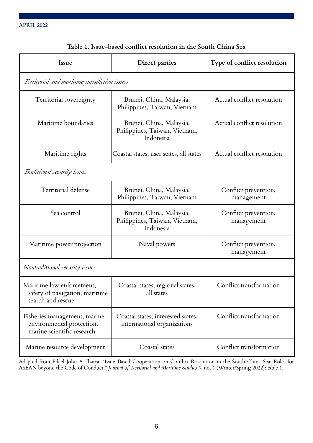| Issue                                                                                   | Direct parties                                                         | Type of conflict resolution        |
|-----------------------------------------------------------------------------------------|------------------------------------------------------------------------|------------------------------------|
| Territorial and maritime jurisdiction issues                                            |                                                                        |                                    |
| Territorial sovereignty                                                                 | Brunei, China, Malaysia,<br>Philippines, Taiwan, Vietnam               | Actual conflict resolution         |
| Maritime boundaries                                                                     | Brunei, China, Malaysia,<br>Philippines, Taiwan, Vietnam,<br>Indonesia | Actual conflict resolution         |
| Maritime rights                                                                         | Coastal states, user states, all states                                | Actual conflict resolution         |
| Traditional security issues                                                             |                                                                        |                                    |
| Territorial defense                                                                     | Brunei, China, Malaysia,<br>Philippines, Taiwan, Vietnam               | Conflict prevention,<br>management |
| Sea control                                                                             | Brunei, China, Malaysia,<br>Philippines, Taiwan, Vietnam,<br>Indonesia | Conflict prevention,<br>management |
| Maritime power projection                                                               | Naval powers                                                           | Conflict prevention,<br>management |
| Nontraditional security issues                                                          |                                                                        |                                    |
| Maritime law enforcement,<br>safety of navigation, maritime<br>search and rescue        | Coastal states, regional states,<br>all states                         | Conflict transformation            |
| Fisheries management, marine<br>environmental protection,<br>marine scientific research | Coastal states; interested states,<br>international organizations      | Conflict transformation            |
| Marine resource development                                                             | Coastal states                                                         | Conflict transformation            |

# **Table 1. Issue-based conflict resolution in the South China Sea**

Adapted from Edcel John A. Ibarra, "Issue-Based Cooperation on Conflict Resolution in the South China Sea: Roles for ASEAN beyond the Code of Conduct," *Journal of Territorial and Maritime Studies 9*, no. 1 (Winter/Spring 2022): table 1.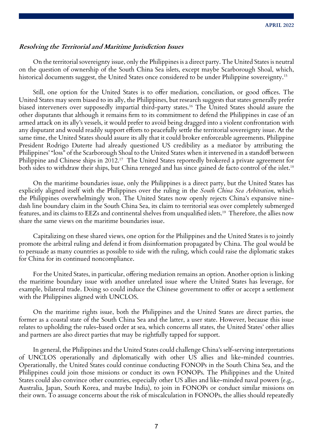# **Resolving the Territorial and Maritime Jurisdiction Issues**

On the territorial sovereignty issue, only the Philippines is a direct party. The United States is neutral on the question of ownership of the South China Sea islets, except maybe Scarborough Shoal, which, historical documents suggest, the United States once considered to be under Philippine sovereignty.<sup>15</sup>

Still, one option for the United States is to offer mediation, conciliation, or good offices. The United States may seem biased to its ally, the Philippines, but research suggests that states generally prefer biased interveners over supposedly impartial third-party states.16 The United States should assure the other disputants that although it remains firm to its commitment to defend the Philippines in case of an armed attack on its ally's vessels, it would prefer to avoid being dragged into a violent confrontation with any disputant and would readily support efforts to peacefully settle the territorial sovereignty issue. At the same time, the United States should assure its ally that it could broker enforceable agreements. Philippine President Rodrigo Duterte had already questioned US credibility as a mediator by attributing the Philippines' "loss" of the Scarborough Shoal to the United States when it intervened in a standoff between Philippine and Chinese ships in 2012.<sup>17</sup> The United States reportedly brokered a private agreement for both sides to withdraw their ships, but China reneged and has since gained de facto control of the islet.<sup>18</sup>

On the maritime boundaries issue, only the Philippines is a direct party, but the United States has explicitly aligned itself with the Philippines over the ruling in the *South China Sea Arbitration*, which the Philippines overwhelmingly won. The United States now openly rejects China's expansive ninedash line boundary claim in the South China Sea, its claim to territorial seas over completely submerged features, and its claims to EEZs and continental shelves from unqualified islets.<sup>19</sup> Therefore, the allies now share the same views on the maritime boundaries issue.

Capitalizing on these shared views, one option for the Philippines and the United States is to jointly promote the arbitral ruling and defend it from disinformation propagated by China. The goal would be to persuade as many countries as possible to side with the ruling, which could raise the diplomatic stakes for China for its continued noncompliance.

For the United States, in particular, offering mediation remains an option. Another option is linking the maritime boundary issue with another unrelated issue where the United States has leverage, for example, bilateral trade. Doing so could induce the Chinese government to offer or accept a settlement with the Philippines aligned with UNCLOS.

On the maritime rights issue, both the Philippines and the United States are direct parties, the former as a coastal state of the South China Sea and the latter, a user state. However, because this issue relates to upholding the rules-based order at sea, which concerns all states, the United States' other allies and partners are also direct parties that may be rightfully tapped for support.

In general, the Philippines and the United States could challenge China's self-serving interpretations of UNCLOS operationally and diplomatically with other US allies and like-minded countries. Operationally, the United States could continue conducting FONOPs in the South China Sea, and the Philippines could join those missions or conduct its own FONOPs. The Philippines and the United States could also convince other countries, especially other US allies and like-minded naval powers (e.g., Australia, Japan, South Korea, and maybe India), to join in FONOPs or conduct similar missions on their own. To assuage concerns about the risk of miscalculation in FONOPs, the allies should repeatedly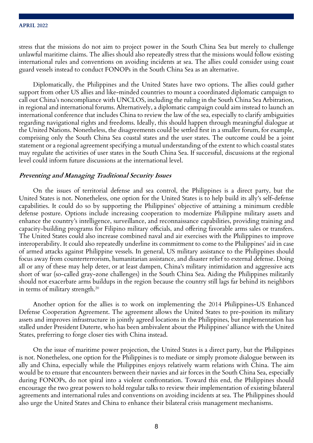stress that the missions do not aim to project power in the South China Sea but merely to challenge unlawful maritime claims. The allies should also repeatedly stress that the missions would follow existing international rules and conventions on avoiding incidents at sea. The allies could consider using coast guard vessels instead to conduct FONOPs in the South China Sea as an alternative.

Diplomatically, the Philippines and the United States have two options. The allies could gather support from other US allies and like-minded countries to mount a coordinated diplomatic campaign to call out China's noncompliance with UNCLOS, including the ruling in the South China Sea Arbitration, in regional and international forums. Alternatively, a diplomatic campaign could aim instead to launch an international conference that includes China to review the law of the sea, especially to clarify ambiguities regarding navigational rights and freedoms. Ideally, this should happen through meaningful dialogue at the United Nations. Nonetheless, the disagreements could be settled first in a smaller forum, for example, comprising only the South China Sea coastal states and the user states. The outcome could be a joint statement or a regional agreement specifying a mutual understanding of the extent to which coastal states may regulate the activities of user states in the South China Sea. If successful, discussions at the regional level could inform future discussions at the international level.

## **Preventing and Managing Traditional Security Issues**

On the issues of territorial defense and sea control, the Philippines is a direct party, but the United States is not. Nonetheless, one option for the United States is to help build its ally's self-defense capabilities. It could do so by supporting the Philippines' objective of attaining a minimum credible defense posture. Options include increasing cooperation to modernize Philippine military assets and enhance the country's intelligence, surveillance, and reconnaissance capabilities, providing training and capacity-building programs for Filipino military officials, and offering favorable arms sales or transfers. The United States could also increase combined naval and air exercises with the Philippines to improve interoperability. It could also repeatedly underline its commitment to come to the Philippines' aid in case of armed attacks against Philippine vessels. In general, US military assistance to the Philippines should focus away from counterterrorism, humanitarian assistance, and disaster relief to external defense. Doing all or any of these may help deter, or at least dampen, China's military intimidation and aggressive acts short of war (so-called gray-zone challenges) in the South China Sea. Aiding the Philippines militarily should not exacerbate arms buildups in the region because the country still lags far behind its neighbors in terms of military strength.20

Another option for the allies is to work on implementing the 2014 Philippines-US Enhanced Defense Cooperation Agreement. The agreement allows the United States to pre-position its military assets and improves infrastructure in jointly agreed locations in the Philippines, but implementation has stalled under President Duterte, who has been ambivalent about the Philippines' alliance with the United States, preferring to forge closer ties with China instead.

On the issue of maritime power projection, the United States is a direct party, but the Philippines is not. Nonetheless, one option for the Philippines is to mediate or simply promote dialogue between its ally and China, especially while the Philippines enjoys relatively warm relations with China. The aim would be to ensure that encounters between their navies and air forces in the South China Sea, especially during FONOPs, do not spiral into a violent confrontation. Toward this end, the Philippines should encourage the two great powers to hold regular talks to review their implementation of existing bilateral agreements and international rules and conventions on avoiding incidents at sea. The Philippines should also urge the United States and China to enhance their bilateral crisis management mechanisms.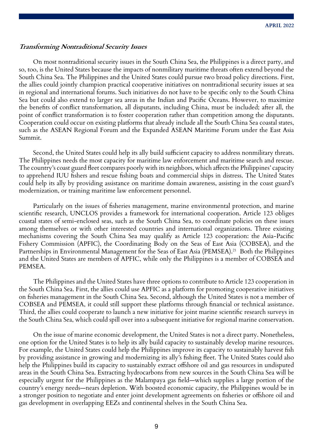## **Transforming Nontraditional Security Issues**

On most nontraditional security issues in the South China Sea, the Philippines is a direct party, and so, too, is the United States because the impacts of nonmilitary maritime threats often extend beyond the South China Sea. The Philippines and the United States could pursue two broad policy directions. First, the allies could jointly champion practical cooperative initiatives on nontraditional security issues at sea in regional and international forums. Such initiatives do not have to be specific only to the South China Sea but could also extend to larger sea areas in the Indian and Pacific Oceans. However, to maximize the benefits of conflict transformation, all disputants, including China, must be included; after all, the point of conflict transformation is to foster cooperation rather than competition among the disputants. Cooperation could occur on existing platforms that already include all the South China Sea coastal states, such as the ASEAN Regional Forum and the Expanded ASEAN Maritime Forum under the East Asia Summit.

Second, the United States could help its ally build sufficient capacity to address nonmilitary threats. The Philippines needs the most capacity for maritime law enforcement and maritime search and rescue. The country's coast guard fleet compares poorly with its neighbors, which affects the Philippines' capacity to apprehend IUU fishers and rescue fishing boats and commercial ships in distress. The United States could help its ally by providing assistance on maritime domain awareness, assisting in the coast guard's modernization, or training maritime law enforcement personnel.

Particularly on the issues of fisheries management, marine environmental protection, and marine scientific research, UNCLOS provides a framework for international cooperation. Article 123 obliges coastal states of semi-enclosed seas, such as the South China Sea, to coordinate policies on these issues among themselves or with other interested countries and international organizations. Three existing mechanisms covering the South China Sea may qualify as Article 123 cooperation: the Asia-Pacific Fishery Commission (APFIC), the Coordinating Body on the Seas of East Asia (COBSEA), and the Partnerships in Environmental Management for the Seas of East Asia (PEMSEA).<sup>21</sup> Both the Philippines and the United States are members of APFIC, while only the Philippines is a member of COBSEA and PEMSEA.

The Philippines and the United States have three options to contribute to Article 123 cooperation in the South China Sea. First, the allies could use APFIC as a platform for promoting cooperative initiatives on fisheries management in the South China Sea. Second, although the United States is not a member of COBSEA and PEMSEA, it could still support these platforms through financial or technical assistance. Third, the allies could cooperate to launch a new initiative for joint marine scientific research surveys in the South China Sea, which could spill over into a subsequent initiative for regional marine conservation.

On the issue of marine economic development, the United States is not a direct party. Nonetheless, one option for the United States is to help its ally build capacity to sustainably develop marine resources. For example, the United States could help the Philippines improve its capacity to sustainably harvest fish by providing assistance in growing and modernizing its ally's fishing fleet. The United States could also help the Philippines build its capacity to sustainably extract offshore oil and gas resources in undisputed areas in the South China Sea. Extracting hydrocarbons from new sources in the South China Sea will be especially urgent for the Philippines as the Malampaya gas field—which supplies a large portion of the country's energy needs—nears depletion. With boosted economic capacity, the Philippines would be in a stronger position to negotiate and enter joint development agreements on fisheries or offshore oil and gas development in overlapping EEZs and continental shelves in the South China Sea.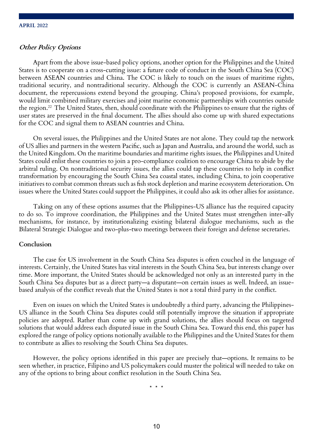## **Other Policy Options**

Apart from the above issue-based policy options, another option for the Philippines and the United States is to cooperate on a cross-cutting issue: a future code of conduct in the South China Sea (COC) between ASEAN countries and China. The COC is likely to touch on the issues of maritime rights, traditional security, and nontraditional security. Although the COC is currently an ASEAN-China document, the repercussions extend beyond the grouping. China's proposed provisions, for example, would limit combined military exercises and joint marine economic partnerships with countries outside the region.22 The United States, then, should coordinate with the Philippines to ensure that the rights of user states are preserved in the final document. The allies should also come up with shared expectations for the COC and signal them to ASEAN countries and China.

On several issues, the Philippines and the United States are not alone. They could tap the network of US allies and partners in the western Pacific, such as Japan and Australia, and around the world, such as the United Kingdom. On the maritime boundaries and maritime rights issues, the Philippines and United States could enlist these countries to join a pro-compliance coalition to encourage China to abide by the arbitral ruling. On nontraditional security issues, the allies could tap these countries to help in conflict transformation by encouraging the South China Sea coastal states, including China, to join cooperative initiatives to combat common threats such as fish stock depletion and marine ecosystem deterioration. On issues where the United States could support the Philippines, it could also ask its other allies for assistance.

Taking on any of these options assumes that the Philippines-US alliance has the required capacity to do so. To improve coordination, the Philippines and the United States must strengthen inter-ally mechanisms, for instance, by institutionalizing existing bilateral dialogue mechanisms, such as the Bilateral Strategic Dialogue and two-plus-two meetings between their foreign and defense secretaries.

## **Conclusion**

The case for US involvement in the South China Sea disputes is often couched in the language of interests. Certainly, the United States has vital interests in the South China Sea, but interests change over time. More important, the United States should be acknowledged not only as an interested party in the South China Sea disputes but as a direct party—a disputant—on certain issues as well. Indeed, an issuebased analysis of the conflict reveals that the United States is not a total third party in the conflict.

Even on issues on which the United States is undoubtedly a third party, advancing the Philippines-US alliance in the South China Sea disputes could still potentially improve the situation if appropriate policies are adopted. Rather than come up with grand solutions, the allies should focus on targeted solutions that would address each disputed issue in the South China Sea. Toward this end, this paper has explored the range of policy options notionally available to the Philippines and the United States for them to contribute as allies to resolving the South China Sea disputes.

However, the policy options identified in this paper are precisely that—options. It remains to be seen whether, in practice, Filipino and US policymakers could muster the political will needed to take on any of the options to bring about conflict resolution in the South China Sea.

\* \* \*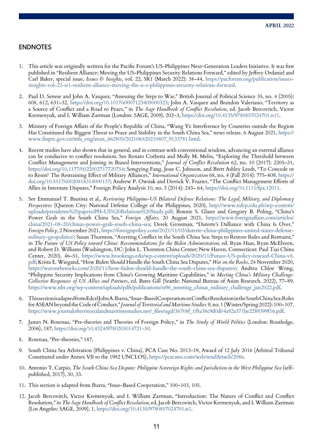### **ENDNOTES**

- 1. This article was originally written for the Pacific Forum's US-Philippines Next-Generation Leaders Initiative. It was first published in "Resilient Alliance: Moving the US-Philippines Security Relations Forward," edited by Jeffrey Ordaniel and Carl Baker, special issue, *Issues & Insights*, vol. 22, SR1 (March 2022): 38–44, https://pacforum.org/publication/issuesinsights-vol-22-sr1-resilient-alliance-moving-the-u-s-philippines-security-relations-forward.
- 2. Paul D. Senese and John A. Vasquez, "Assessing the Steps to War," British Journal of Political Science 35, no. 4 (2005): 608, 612, 631–32, https://doi.org/10.1017/s0007123405000323; John A. Vasquez and Brandon Valeriano, "Territory as a Source of Conflict and a Road to Peace," in *The Sage Handbook of Conflict Resolution*, ed. Jacob Bercovitch, Victor Kremenyuk, and I. William Zartman (London: SAGE, 2009), 202–3, https://doi.org/10.4135/9780857024701.n11.
- 3. Ministry of Foreign Affairs of the People's Republic of China, "Wang Yi: Interference by Countries outside the Region Has Constituted the Biggest Threat to Peace and Stability in the South China Sea," news release, 6 August 2021, https:// www.fmprc.gov.cn/mfa\_eng/zxxx\_662805/202108/t20210807\_9133781.html.
- Recent studies have also shown that in general, and in contrast with conventional wisdom, advancing an external alliance can be conducive to conflict resolution. See Renato Corbetta and Molly M. Melin, "Exploring the Threshold between Conflict Management and Joining in Biased Interventions," *Journal of Conflict Resolution* 62, no. 10 (2017): 2205–31, https://doi.org/10.1177/0022002717720754; Songying Fang, Jesse C. Johnson, and Brett Ashley Leeds, "To Concede or to Resist? The Restraining Effect of Military Alliances," *International Organization* 68, no. 4 (Fall 2014): 775–809, https:// doi.org/10.1017/s0020818314000137; Andrew P. Owsiak and Derrick V. Frazier, "The Conflict Management Efforts of Allies in Interstate Disputes," Foreign Policy Analysis 10, no. 3 (2014): 243– 64, https://doi.org/10.1111/fpa.12011.
- 5. See Emmanuel T. Bautista et al., *Reviewing Philippine-US Bilateral Defense Relations: The Legal, Military, and Diplomacy Perspectives* (Quezon City: National Defense College of the Philippines, 2020), http://www.ndcp.edu.ph/wp-content/ uploads/presidents%20papers/PH-US%20Relations%20Study.pdf; Bonnie S. Glaser and Gregory B. Poling, "China's Power Grab in the South China Sea," *Foreign Affairs*, 20 August 2021, https://www.foreignaffairs.com/articles/ china/2021-08-20/chinas-power-grab-south-china-sea; Derek Grossman, "Duterte's Dalliance with China Is Over," *Foreign Policy*, 2 November 2021, https://foreignpolicy.com/2021/11/02/duterte-china-philippines-united-states-defensemilitary-geopolitics/; Susan Thornton, "Averting Conflict in the South China Sea: Steps to Restore Rules and Restraint," in *The Future of US Policy toward China: Recommendations for the Biden Administration*, ed. Ryan Haas, Ryan McElveen, and Robert D. Williams (Washington, DC: John L. Thornton China Center; New Haven, Connecticut: Paul Tsai China Center, 2020), 46–51, https://www.brookings.edu/wp-content/uploads/2020/11/Future-US-policy-toward-China-v8. pdf; Krista E. Wiegand, "How Biden Should Handle the South China Sea Disputes," *War on the Rocks*, 24 November 2020, https://warontherocks.com/2020/11/how-biden-should-handle-the-south-china-sea-disputes/; Andrea Chloe Wong, "Philippine Security Implications from China's Growing Maritime Capabilities," in *Meeting China's Military Challenge: Collective Responses of US Allies and Partners*, ed. Bates Gill (Seattle: National Bureau of Asian Research, 2022), 77–89, https://www.nbr.org/wp-content/uploads/pdfs/publications/sr96\_meeting\_chinas\_military\_challenge\_jan2022.pdf.
- 6. This section is adapted from Edcel John A. Ibarra, "Issue-Based Cooperation on Conflict Resolution in the South China Sea: Roles for ASEAN beyond the Code of Conduct," *Journal of Territorial and Maritime Studies* 9, no. 1 (Winter/Spring 2022): 100–107. https://www.journalofterritorialandmaritimestudies.net/\_files/ugd/36708f\_1f8a38c9d0d04a92a371be2289399f16.pdf.
- 7. James N. Rosenau, "Pre-theories and Theories of Foreign Policy," in *The Study of World Politics* (London: Routledge, 2006), 187, https://doi.org/10.4324/9780203014721-30.
- 8. Rosenau, "Pre-theories," 187.
- 9. South China Sea Arbitration (Philippines v. China), PCA Case No. 2013-19, Award of 12 July 2016 (Arbitral Tribunal Constituted under Annex VII to the 1982 UNCLOS), https://pcacases.com/web/sendAttach/2086.
- 10. Antonio T. Carpio, *The South China Sea Dispute: Philippine Sovereign Rights and Jurisdiction in the West Philippine Sea* (selfpublished, 2017), 30, 33.
- 11. This section is adapted from Ibarra, "Issue-Based Cooperation," 100–103, 105.
- 12. Jacob Bercovitch, Victor Kremenyuk, and I. William Zartman, "Introduction: The Nature of Conflict and Conflict Resolution," in *The Sage Handbook of Conflict Resolution*, ed. Jacob Bercovitch, Victor Kremenyuk, and I. William Zartman (Los Angeles: SAGE, 2009), 1, https://doi.org/10.4135/9780857024701.n1.